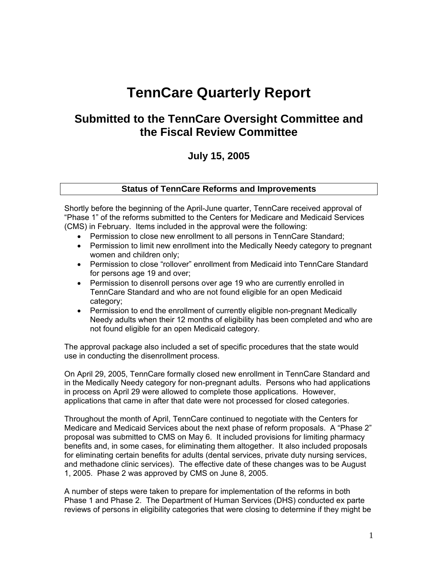# **TennCare Quarterly Report**

## **Submitted to the TennCare Oversight Committee and the Fiscal Review Committee**

## **July 15, 2005**

## **Status of TennCare Reforms and Improvements**

Shortly before the beginning of the April-June quarter, TennCare received approval of "Phase 1" of the reforms submitted to the Centers for Medicare and Medicaid Services (CMS) in February. Items included in the approval were the following:

- Permission to close new enrollment to all persons in TennCare Standard;
- Permission to limit new enrollment into the Medically Needy category to pregnant women and children only;
- Permission to close "rollover" enrollment from Medicaid into TennCare Standard for persons age 19 and over;
- Permission to disenroll persons over age 19 who are currently enrolled in TennCare Standard and who are not found eligible for an open Medicaid category;
- Permission to end the enrollment of currently eligible non-pregnant Medically Needy adults when their 12 months of eligibility has been completed and who are not found eligible for an open Medicaid category.

The approval package also included a set of specific procedures that the state would use in conducting the disenrollment process.

On April 29, 2005, TennCare formally closed new enrollment in TennCare Standard and in the Medically Needy category for non-pregnant adults. Persons who had applications in process on April 29 were allowed to complete those applications. However, applications that came in after that date were not processed for closed categories.

Throughout the month of April, TennCare continued to negotiate with the Centers for Medicare and Medicaid Services about the next phase of reform proposals. A "Phase 2" proposal was submitted to CMS on May 6. It included provisions for limiting pharmacy benefits and, in some cases, for eliminating them altogether. It also included proposals for eliminating certain benefits for adults (dental services, private duty nursing services, and methadone clinic services). The effective date of these changes was to be August 1, 2005. Phase 2 was approved by CMS on June 8, 2005.

A number of steps were taken to prepare for implementation of the reforms in both Phase 1 and Phase 2. The Department of Human Services (DHS) conducted ex parte reviews of persons in eligibility categories that were closing to determine if they might be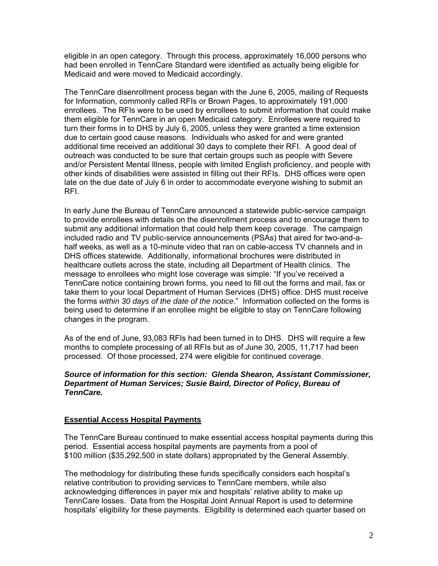eligible in an open category. Through this process, approximately 16,000 persons who had been enrolled in TennCare Standard were identified as actually being eligible for Medicaid and were moved to Medicaid accordingly.

The TennCare disenrollment process began with the June 6, 2005, mailing of Requests for Information, commonly called RFIs or Brown Pages, to approximately 191,000 enrollees. The RFIs were to be used by enrollees to submit information that could make them eligible for TennCare in an open Medicaid category. Enrollees were required to turn their forms in to DHS by July 6, 2005, unless they were granted a time extension due to certain good cause reasons. Individuals who asked for and were granted additional time received an additional 30 days to complete their RFI. A good deal of outreach was conducted to be sure that certain groups such as people with Severe and/or Persistent Mental Illness, people with limited English proficiency, and people with other kinds of disabilities were assisted in filling out their RFIs. DHS offices were open late on the due date of July 6 in order to accommodate everyone wishing to submit an RFI.

In early June the Bureau of TennCare announced a statewide public-service campaign to provide enrollees with details on the disenrollment process and to encourage them to submit any additional information that could help them keep coverage. The campaign included radio and TV public-service announcements (PSAs) that aired for two-and-ahalf weeks, as well as a 10-minute video that ran on cable-access TV channels and in DHS offices statewide. Additionally, informational brochures were distributed in healthcare outlets across the state, including all Department of Health clinics. The message to enrollees who might lose coverage was simple: "If you've received a TennCare notice containing brown forms, you need to fill out the forms and mail, fax or take them to your local Department of Human Services (DHS) office. DHS must receive the forms *within 30 days of the date of the notice*." Information collected on the forms is being used to determine if an enrollee might be eligible to stay on TennCare following changes in the program.

As of the end of June, 93,083 RFIs had been turned in to DHS. DHS will require a few months to complete processing of all RFIs but as of June 30, 2005, 11,717 had been processed. Of those processed, 274 were eligible for continued coverage.

### *Source of information for this section: Glenda Shearon, Assistant Commissioner, Department of Human Services; Susie Baird, Director of Policy, Bureau of TennCare.*

## **Essential Access Hospital Payments**

 The TennCare Bureau continued to make essential access hospital payments during this period. Essential access hospital payments are payments from a pool of \$100 million (\$35,292,500 in state dollars) appropriated by the General Assembly.

The methodology for distributing these funds specifically considers each hospital's relative contribution to providing services to TennCare members, while also acknowledging differences in payer mix and hospitals' relative ability to make up TennCare losses. Data from the Hospital Joint Annual Report is used to determine hospitals' eligibility for these payments. Eligibility is determined each quarter based on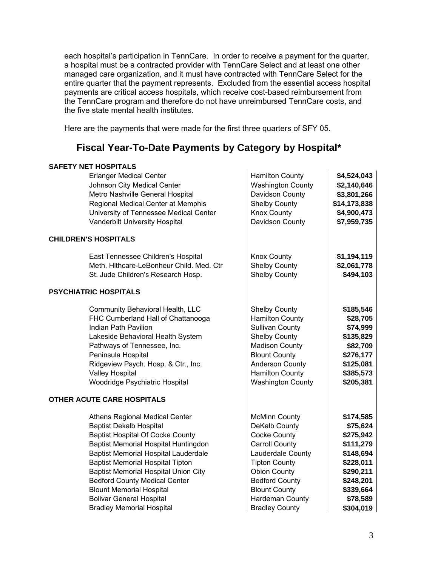each hospital's participation in TennCare. In order to receive a payment for the quarter, a hospital must be a contracted provider with TennCare Select and at least one other managed care organization, and it must have contracted with TennCare Select for the entire quarter that the payment represents. Excluded from the essential access hospital payments are critical access hospitals, which receive cost-based reimbursement from the TennCare program and therefore do not have unreimbursed TennCare costs, and the five state mental health institutes.

Here are the payments that were made for the first three quarters of SFY 05.

## **Fiscal Year-To-Date Payments by Category by Hospital\***

## **SAFETY NET HOSPITALS**

| <b>Erlanger Medical Center</b>              | <b>Hamilton County</b>   | \$4,524,043  |
|---------------------------------------------|--------------------------|--------------|
| Johnson City Medical Center                 | <b>Washington County</b> | \$2,140,646  |
| Metro Nashville General Hospital            | Davidson County          | \$3,801,266  |
| Regional Medical Center at Memphis          | <b>Shelby County</b>     | \$14,173,838 |
| University of Tennessee Medical Center      | <b>Knox County</b>       | \$4,900,473  |
| Vanderbilt University Hospital              | Davidson County          | \$7,959,735  |
| <b>CHILDREN'S HOSPITALS</b>                 |                          |              |
| East Tennessee Children's Hospital          | <b>Knox County</b>       | \$1,194,119  |
| Meth. Hithcare-LeBonheur Child. Med. Ctr    | <b>Shelby County</b>     | \$2,061,778  |
| St. Jude Children's Research Hosp.          | <b>Shelby County</b>     | \$494,103    |
| <b>PSYCHIATRIC HOSPITALS</b>                |                          |              |
| Community Behavioral Health, LLC            | <b>Shelby County</b>     | \$185,546    |
| FHC Cumberland Hall of Chattanooga          | <b>Hamilton County</b>   | \$28,705     |
| Indian Path Pavilion                        | <b>Sullivan County</b>   | \$74,999     |
| Lakeside Behavioral Health System           | <b>Shelby County</b>     | \$135,829    |
| Pathways of Tennessee, Inc.                 | <b>Madison County</b>    | \$82,709     |
| Peninsula Hospital                          | <b>Blount County</b>     | \$276,177    |
| Ridgeview Psych. Hosp. & Ctr., Inc.         | <b>Anderson County</b>   | \$125,081    |
| <b>Valley Hospital</b>                      | <b>Hamilton County</b>   | \$385,573    |
| Woodridge Psychiatric Hospital              | <b>Washington County</b> | \$205,381    |
| OTHER ACUTE CARE HOSPITALS                  |                          |              |
| Athens Regional Medical Center              | <b>McMinn County</b>     | \$174,585    |
| <b>Baptist Dekalb Hospital</b>              | DeKalb County            | \$75,624     |
| <b>Baptist Hospital Of Cocke County</b>     | <b>Cocke County</b>      | \$275,942    |
| Baptist Memorial Hospital Huntingdon        | <b>Carroll County</b>    | \$111,279    |
| <b>Baptist Memorial Hospital Lauderdale</b> | Lauderdale County        | \$148,694    |
| <b>Baptist Memorial Hospital Tipton</b>     | <b>Tipton County</b>     | \$228,011    |
| <b>Baptist Memorial Hospital Union City</b> | <b>Obion County</b>      | \$290,211    |
| <b>Bedford County Medical Center</b>        | <b>Bedford County</b>    | \$248,201    |
| <b>Blount Memorial Hospital</b>             | <b>Blount County</b>     | \$339,664    |
| <b>Bolivar General Hospital</b>             | Hardeman County          | \$78,589     |
| <b>Bradley Memorial Hospital</b>            | <b>Bradley County</b>    |              |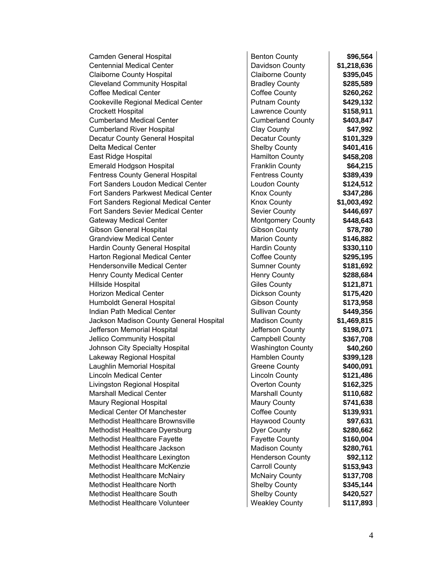| Camden General Hospital                 | <b>Benton County</b>     | \$96,564    |
|-----------------------------------------|--------------------------|-------------|
| <b>Centennial Medical Center</b>        | Davidson County          | \$1,218,636 |
| <b>Claiborne County Hospital</b>        | <b>Claiborne County</b>  | \$395,045   |
| <b>Cleveland Community Hospital</b>     | <b>Bradley County</b>    | \$285,589   |
| <b>Coffee Medical Center</b>            | <b>Coffee County</b>     | \$260,262   |
| Cookeville Regional Medical Center      | Putnam County            | \$429,132   |
| <b>Crockett Hospital</b>                | Lawrence County          | \$158,911   |
| <b>Cumberland Medical Center</b>        | <b>Cumberland County</b> | \$403,847   |
| <b>Cumberland River Hospital</b>        | Clay County              | \$47,992    |
| Decatur County General Hospital         | <b>Decatur County</b>    | \$101,329   |
| Delta Medical Center                    | <b>Shelby County</b>     | \$401,416   |
| East Ridge Hospital                     | <b>Hamilton County</b>   | \$458,208   |
| <b>Emerald Hodgson Hospital</b>         | <b>Franklin County</b>   | \$64,215    |
| <b>Fentress County General Hospital</b> | <b>Fentress County</b>   | \$389,439   |
| Fort Sanders Loudon Medical Center      | Loudon County            | \$124,512   |
| Fort Sanders Parkwest Medical Center    | <b>Knox County</b>       | \$347,286   |
| Fort Sanders Regional Medical Center    | <b>Knox County</b>       | \$1,003,492 |
| Fort Sanders Sevier Medical Center      | Sevier County            | \$446,697   |
| <b>Gateway Medical Center</b>           | <b>Montgomery County</b> | \$448,643   |
| <b>Gibson General Hospital</b>          | <b>Gibson County</b>     | \$78,780    |
| <b>Grandview Medical Center</b>         | <b>Marion County</b>     | \$146,882   |
| Hardin County General Hospital          | <b>Hardin County</b>     | \$330,110   |
| Harton Regional Medical Center          | Coffee County            | \$295,195   |
| <b>Hendersonville Medical Center</b>    | <b>Sumner County</b>     | \$181,692   |
| Henry County Medical Center             | <b>Henry County</b>      | \$288,684   |
| Hillside Hospital                       | <b>Giles County</b>      | \$121,871   |
| <b>Horizon Medical Center</b>           | Dickson County           | \$175,420   |
| Humboldt General Hospital               | <b>Gibson County</b>     | \$173,958   |
| Indian Path Medical Center              | <b>Sullivan County</b>   | \$449,356   |
| Jackson Madison County General Hospital | <b>Madison County</b>    | \$1,469,815 |
| Jefferson Memorial Hospital             | Jefferson County         | \$198,071   |
| <b>Jellico Community Hospital</b>       | <b>Campbell County</b>   | \$367,708   |
| Johnson City Specialty Hospital         | <b>Washington County</b> | \$40,260    |
| Lakeway Regional Hospital               | Hamblen County           | \$399,128   |
| Laughlin Memorial Hospital              | <b>Greene County</b>     | \$400,091   |
| <b>Lincoln Medical Center</b>           | <b>Lincoln County</b>    | \$121,486   |
| Livingston Regional Hospital            | Overton County           | \$162,325   |
| <b>Marshall Medical Center</b>          | <b>Marshall County</b>   | \$110,682   |
| Maury Regional Hospital                 | Maury County             | \$741,638   |
| <b>Medical Center Of Manchester</b>     | <b>Coffee County</b>     | \$139,931   |
| Methodist Healthcare Brownsville        | <b>Haywood County</b>    | \$97,631    |
| Methodist Healthcare Dyersburg          | Dyer County              | \$280,662   |
| Methodist Healthcare Fayette            | <b>Fayette County</b>    | \$160,004   |
| Methodist Healthcare Jackson            | <b>Madison County</b>    | \$280,761   |
| Methodist Healthcare Lexington          | <b>Henderson County</b>  | \$92,112    |
| Methodist Healthcare McKenzie           | <b>Carroll County</b>    | \$153,943   |
| Methodist Healthcare McNairy            | <b>McNairy County</b>    | \$137,708   |
| <b>Methodist Healthcare North</b>       | <b>Shelby County</b>     | \$345,144   |
| Methodist Healthcare South              | <b>Shelby County</b>     | \$420,527   |
| Methodist Healthcare Volunteer          | <b>Weakley County</b>    | \$117,893   |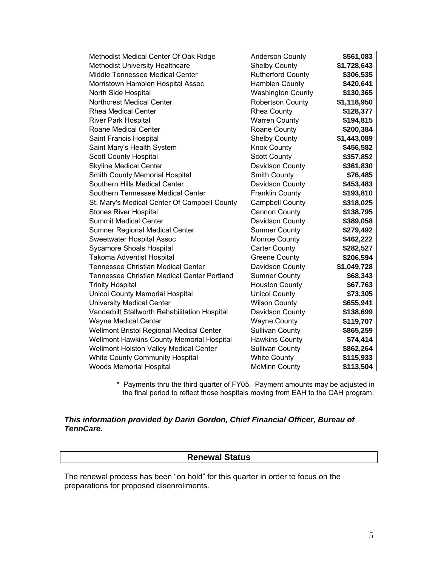| Methodist Medical Center Of Oak Ridge         | <b>Anderson County</b>   | \$561,083   |
|-----------------------------------------------|--------------------------|-------------|
| <b>Methodist University Healthcare</b>        | <b>Shelby County</b>     | \$1,728,643 |
| Middle Tennessee Medical Center               | <b>Rutherford County</b> | \$306,535   |
| Morristown Hamblen Hospital Assoc             | Hamblen County           | \$420,641   |
| North Side Hospital                           | <b>Washington County</b> | \$130,365   |
| <b>Northcrest Medical Center</b>              | <b>Robertson County</b>  | \$1,118,950 |
| <b>Rhea Medical Center</b>                    | <b>Rhea County</b>       | \$128,377   |
| River Park Hospital                           | <b>Warren County</b>     | \$194,815   |
| <b>Roane Medical Center</b>                   | Roane County             | \$200,384   |
| Saint Francis Hospital                        | <b>Shelby County</b>     | \$1,443,089 |
| Saint Mary's Health System                    | <b>Knox County</b>       | \$456,582   |
| <b>Scott County Hospital</b>                  | <b>Scott County</b>      | \$357,852   |
| <b>Skyline Medical Center</b>                 | Davidson County          | \$361,830   |
| Smith County Memorial Hospital                | Smith County             | \$76,485    |
| Southern Hills Medical Center                 | Davidson County          | \$453,483   |
| Southern Tennessee Medical Center             | <b>Franklin County</b>   | \$193,810   |
| St. Mary's Medical Center Of Campbell County  | <b>Campbell County</b>   | \$318,025   |
| <b>Stones River Hospital</b>                  | Cannon County            | \$138,795   |
| <b>Summit Medical Center</b>                  | Davidson County          | \$389,058   |
| Sumner Regional Medical Center                | <b>Sumner County</b>     | \$279,492   |
| Sweetwater Hospital Assoc                     | Monroe County            | \$462,222   |
| <b>Sycamore Shoals Hospital</b>               | <b>Carter County</b>     | \$282,527   |
| <b>Takoma Adventist Hospital</b>              | <b>Greene County</b>     | \$206,594   |
| <b>Tennessee Christian Medical Center</b>     | Davidson County          | \$1,049,728 |
| Tennessee Christian Medical Center Portland   | <b>Sumner County</b>     | \$68,343    |
| <b>Trinity Hospital</b>                       | <b>Houston County</b>    | \$67,763    |
| Unicoi County Memorial Hospital               | Unicoi County            | \$73,305    |
| <b>University Medical Center</b>              | <b>Wilson County</b>     | \$655,941   |
| Vanderbilt Stallworth Rehabilitation Hospital | Davidson County          | \$138,699   |
| <b>Wayne Medical Center</b>                   | <b>Wayne County</b>      | \$119,707   |
| Wellmont Bristol Regional Medical Center      | <b>Sullivan County</b>   | \$865,259   |
| Wellmont Hawkins County Memorial Hospital     | <b>Hawkins County</b>    | \$74,414    |
| Wellmont Holston Valley Medical Center        | <b>Sullivan County</b>   | \$862,264   |
| White County Community Hospital               | <b>White County</b>      | \$115,933   |
| <b>Woods Memorial Hospital</b>                | <b>McMinn County</b>     | \$113,504   |

\* Payments thru the third quarter of FY05. Payment amounts may be adjusted in the final period to reflect those hospitals moving from EAH to the CAH program.

## *This information provided by Darin Gordon, Chief Financial Officer, Bureau of TennCare.*

## **Renewal Status**

The renewal process has been "on hold" for this quarter in order to focus on the preparations for proposed disenrollments.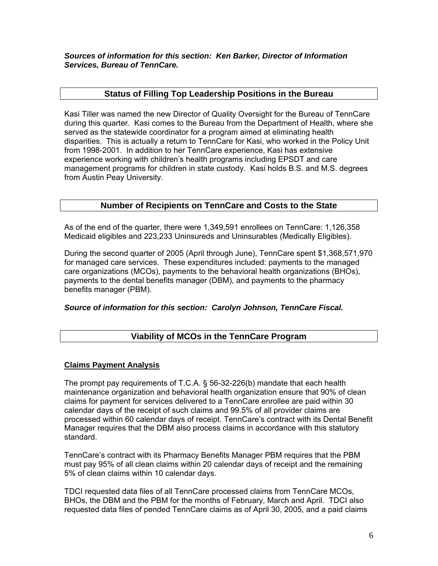*Sources of information for this section: Ken Barker, Director of Information Services, Bureau of TennCare.* 

## **Status of Filling Top Leadership Positions in the Bureau**

Kasi Tiller was named the new Director of Quality Oversight for the Bureau of TennCare during this quarter. Kasi comes to the Bureau from the Department of Health, where she served as the statewide coordinator for a program aimed at eliminating health disparities. This is actually a return to TennCare for Kasi, who worked in the Policy Unit from 1998-2001. In addition to her TennCare experience, Kasi has extensive experience working with children's health programs including EPSDT and care management programs for children in state custody. Kasi holds B.S. and M.S. degrees from Austin Peay University.

## **Number of Recipients on TennCare and Costs to the State**

As of the end of the quarter, there were 1,349,591 enrollees on TennCare: 1,126,358 Medicaid eligibles and 223,233 Uninsureds and Uninsurables (Medically Eligibles).

During the second quarter of 2005 (April through June), TennCare spent \$1,368,571,970 for managed care services. These expenditures included: payments to the managed care organizations (MCOs), payments to the behavioral health organizations (BHOs), payments to the dental benefits manager (DBM), and payments to the pharmacy benefits manager (PBM).

## *Source of information for this section: Carolyn Johnson, TennCare Fiscal.*

## **Viability of MCOs in the TennCare Program**

## **Claims Payment Analysis**

The prompt pay requirements of T.C.A. § 56-32-226(b) mandate that each health maintenance organization and behavioral health organization ensure that 90% of clean claims for payment for services delivered to a TennCare enrollee are paid within 30 calendar days of the receipt of such claims and 99.5% of all provider claims are processed within 60 calendar days of receipt. TennCare's contract with its Dental Benefit Manager requires that the DBM also process claims in accordance with this statutory standard.

TennCare's contract with its Pharmacy Benefits Manager PBM requires that the PBM must pay 95% of all clean claims within 20 calendar days of receipt and the remaining 5% of clean claims within 10 calendar days.

TDCI requested data files of all TennCare processed claims from TennCare MCOs, BHOs, the DBM and the PBM for the months of February, March and April. TDCI also requested data files of pended TennCare claims as of April 30, 2005, and a paid claims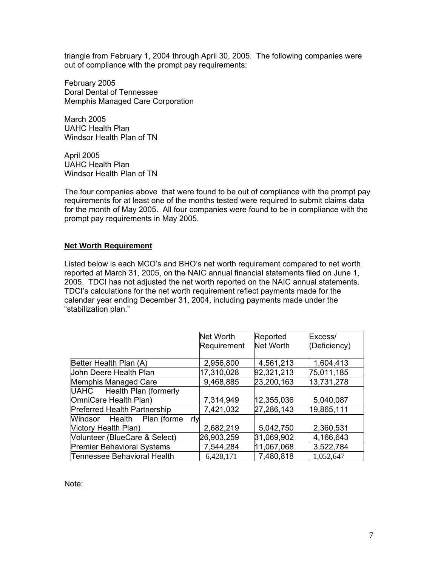triangle from February 1, 2004 through April 30, 2005. The following companies were out of compliance with the prompt pay requirements:

February 2005 Doral Dental of Tennessee Memphis Managed Care Corporation

March 2005 UAHC Health Plan Windsor Health Plan of TN

April 2005 UAHC Health Plan Windsor Health Plan of TN

The four companies above that were found to be out of compliance with the prompt pay requirements for at least one of the months tested were required to submit claims data for the month of May 2005. All four companies were found to be in compliance with the prompt pay requirements in May 2005.

## **Net Worth Requirement**

Listed below is each MCO's and BHO's net worth requirement compared to net worth reported at March 31, 2005, on the NAIC annual financial statements filed on June 1, 2005. TDCI has not adjusted the net worth reported on the NAIC annual statements. TDCI's calculations for the net worth requirement reflect payments made for the calendar year ending December 31, 2004, including payments made under the "stabilization plan."

|                                   | Net Worth   | Reported         | Excess/      |
|-----------------------------------|-------------|------------------|--------------|
|                                   | Requirement | <b>Net Worth</b> | (Deficiency) |
|                                   |             |                  |              |
| Better Health Plan (A)            | 2,956,800   | 4,561,213        | 1,604,413    |
| John Deere Health Plan            | 17,310,028  | 92,321,213       | 75,011,185   |
| Memphis Managed Care              | 9,468,885   | 23,200,163       | 13,731,278   |
| UAHC Health Plan (formerly        |             |                  |              |
| OmniCare Health Plan)             | 7,314,949   | 12,355,036       | 5,040,087    |
| Preferred Health Partnership      | 7,421,032   | 27,286,143       | 19,865,111   |
| Windsor Health Plan (forme<br>rly |             |                  |              |
| <b>Victory Health Plan)</b>       | 2,682,219   | 5,042,750        | 2,360,531    |
| Volunteer (BlueCare & Select)     | 26,903,259  | 31,069,902       | 4,166,643    |
| <b>Premier Behavioral Systems</b> | 7,544,284   | 11,067,068       | 3,522,784    |
| Tennessee Behavioral Health       | 6,428,171   | 7,480,818        | 1,052,647    |

Note: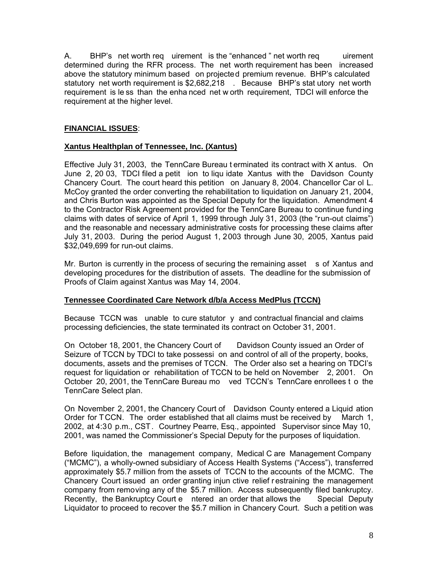A. BHP's net worth req uirement is the "enhanced" net worth req uirement determined during the RFR process. The net worth requirement has been increased above the statutory minimum based on projected premium revenue. BHP's calculated statutory net worth requirement is \$2,682,218 . Because BHP's stat utory net worth requirement is le ss than the enha nced net w orth requirement, TDCI will enforce the requirement at the higher level.

## **FINANCIAL ISSUES**:

## **Xantus Healthplan of Tennessee, Inc. (Xantus)**

Effective July 31, 2003, the TennCare Bureau t erminated its contract with X antus. On June 2, 20 03, TDCI filed a petit ion to liqu idate Xantus with the Davidson County Chancery Court. The court heard this petition on January 8, 2004. Chancellor Car ol L. McCoy granted the order converting the rehabilitation to liquidation on January 21, 2004, and Chris Burton was appointed as the Special Deputy for the liquidation. Amendment 4 to the Contractor Risk Agreement provided for the TennCare Bureau to continue fund ing claims with dates of service of April 1, 1999 through July 31, 2003 (the "run-out claims") and the reasonable and necessary administrative costs for processing these claims after July 31, 2003. During the period August 1, 2003 through June 30, 2005, Xantus paid \$32,049,699 for run-out claims.

Mr. Burton is currently in the process of securing the remaining asset s of Xantus and developing procedures for the distribution of assets. The deadline for the submission of Proofs of Claim against Xantus was May 14, 2004.

## **Tennessee Coordinated Care Network d/b/a Access MedPlus (TCCN)**

Because TCCN was unable to cure statutor y and contractual financial and claims processing deficiencies, the state terminated its contract on October 31, 2001.

On October 18, 2001, the Chancery Court of Davidson County issued an Order of Seizure of TCCN by TDCI to take possessi on and control of all of the property, books, documents, assets and the premises of TCCN. The Order also set a hearing on TDCI's request for liquidation or rehabilitation of TCCN to be held on November 2, 2001. On October 20, 2001, the TennCare Bureau mo ved TCCN's TennCare enrollees t o the TennCare Select plan.

On November 2, 2001, the Chancery Court of Davidson County entered a Liquid ation Order for TCCN. The order established that all claims must be received by March 1, 2002, at 4:30 p.m., CST. Courtney Pearre, Esq., appointed Supervisor since May 10, 2001, was named the Commissioner's Special Deputy for the purposes of liquidation.

Before liquidation, the management company, Medical C are Management Company ("MCMC"), a wholly-owned subsidiary of Access Health Systems ("Access"), transferred approximately \$5.7 million from the assets of TCCN to the accounts of the MCMC. The Chancery Court issued an order granting injun ctive relief r estraining the management company from removing any of the \$5.7 million. Access subsequently filed bankruptcy. Recently, the Bankruptcy Court e ntered an order that allows the Special Deputy Liquidator to proceed to recover the \$5.7 million in Chancery Court. Such a petition was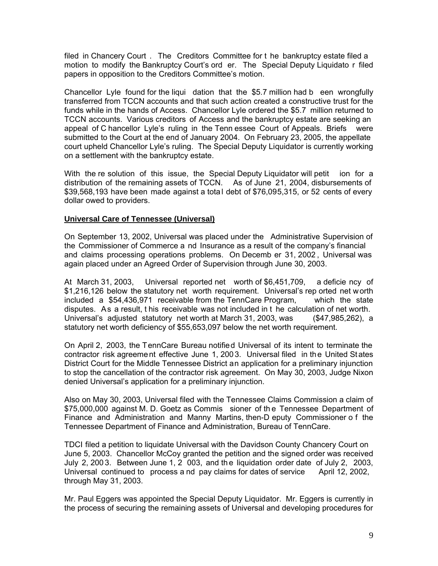filed in Chancery Court . The Creditors Committee for t he bankruptcy estate filed a motion to modify the Bankruptcy Court's ord er. The Special Deputy Liquidato r filed papers in opposition to the Creditors Committee's motion.

Chancellor Lyle found for the liqui dation that the \$5.7 million had b een wrongfully transferred from TCCN accounts and that such action created a constructive trust for the funds while in the hands of Access. Chancellor Lyle ordered the \$5.7 million returned to TCCN accounts. Various creditors of Access and the bankruptcy estate are seeking an appeal of C hancellor Lyle's ruling in the Tenn essee Court of Appeals. Briefs were submitted to the Court at the end of January 2004. On February 23, 2005, the appellate court upheld Chancellor Lyle's ruling. The Special Deputy Liquidator is currently working on a settlement with the bankruptcy estate.

With the re solution of this issue, the Special Deputy Liquidator will petit ion for a distribution of the remaining assets of TCCN. As of June 21, 2004, disbursements of \$39,568,193 have been made against a total debt of \$76,095,315, or 52 cents of every dollar owed to providers.

## **Universal Care of Tennessee (Universal)**

On September 13, 2002, Universal was placed under the Administrative Supervision of the Commissioner of Commerce a nd Insurance as a result of the company's financial and claims processing operations problems. On Decemb er 31, 2002 , Universal was again placed under an Agreed Order of Supervision through June 30, 2003.

At March 31, 2003, Universal reported net worth of \$6,451,709, a deficie ncy of \$1,216,126 below the statutory net worth requirement. Universal's rep orted net worth included a \$54,436,971 receivable from the TennCare Program, which the state disputes. As a result, t his receivable was not included in t he calculation of net worth. Universal's adjusted statutory net worth at March 31, 2003, was (\$47,985,262), a statutory net worth deficiency of \$55,653,097 below the net worth requirement.

On April 2, 2003, the TennCare Bureau notified Universal of its intent to terminate the contractor risk agreement effective June 1, 2003. Universal filed in the United States District Court for the Middle Tennessee District an application for a preliminary injunction to stop the cancellation of the contractor risk agreement. On May 30, 2003, Judge Nixon denied Universal's application for a preliminary injunction.

Also on May 30, 2003, Universal filed with the Tennessee Claims Commission a claim of \$75,000,000 against M. D. Goetz as Commis sioner of th e Tennessee Department of Finance and Administration and Manny Martins, then-D eputy Commissioner o f the Tennessee Department of Finance and Administration, Bureau of TennCare.

TDCI filed a petition to liquidate Universal with the Davidson County Chancery Court on June 5, 2003. Chancellor McCoy granted the petition and the signed order was received July 2, 200 3. Between June 1, 2 003, and th e liquidation order date of July 2, 2003, Universal continued to process a nd pay claims for dates of service April 12, 2002, through May 31, 2003.

Mr. Paul Eggers was appointed the Special Deputy Liquidator. Mr. Eggers is currently in the process of securing the remaining assets of Universal and developing procedures for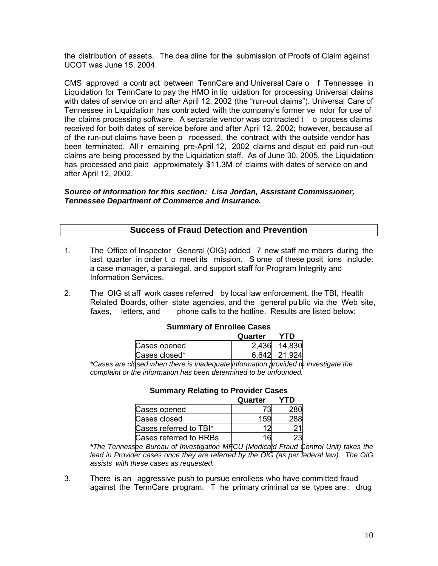the distribution of assets. The dea dline for the submission of Proofs of Claim against UCOT was June 15, 2004.

CMS approved a contr act between TennCare and Universal Care o f Tennessee in Liquidation for TennCare to pay the HMO in liq uidation for processing Universal claims with dates of service on and after April 12, 2002 (the "run-out claims"). Universal Care of Tennessee in Liquidation has contracted with the company's former ve ndor for use of the claims processing software. A separate vendor was contracted  $t \circ$  o process claims received for both dates of service before and after April 12, 2002; however, because all of the run-out claims have been p rocessed, the contract with the outside vendor has been terminated. All r emaining pre-April 12, 2002 claims and disput ed paid run -out claims are being processed by the Liquidation staff. As of June 30, 2005, the Liquidation has processed and paid approximately \$11.3M of claims with dates of service on and after April 12, 2002.

## *Source of information for this section: Lisa Jordan, Assistant Commissioner, Tennessee Department of Commerce and Insurance.*

## **Success of Fraud Detection and Prevention**

- 1. The Office of Inspector General (OIG) added 7 new staff me mbers during the last quarter in order t o meet its mission. S ome of these posit ions include: a case manager, a paralegal, and support staff for Program Integrity and Information Services.
- 2. The OIG st aff work cases referred by local law enforcement, the TBI, Health Related Boards, other state agencies, and the general pu blic via the Web site, faxes. letters, and phone calls to the hotline. Results are listed below:

|               | Quarter | YTD    |  |
|---------------|---------|--------|--|
| Cases opened  | 2.436   | 14,830 |  |
| Cases closed* | 6 642 L | 21.924 |  |
|               |         |        |  |

#### **Summary of Enrollee Cases**

*\*Cases are closed when there is inadequate information provided to investigate the complaint or the information has been determined to be unfounded.* 

|                        | Quarter |  |
|------------------------|---------|--|
| Cases opened           |         |  |
| Cases closed           |         |  |
| Cases referred to TBI* |         |  |
| Cases referred to HRBs |         |  |

#### **Summary Relating to Provider Cases**

*\*The Tennessee Bureau of Investigation MFCU (Medicaid Fraud Control Unit) takes the lead in Provider cases once they are referred by the OIG (as per federal law). The OIG assists with these cases as requested.* 

3. There is an aggressive push to pursue enrollees who have committed fraud against the TennCare program. T he primary criminal ca se types are : drug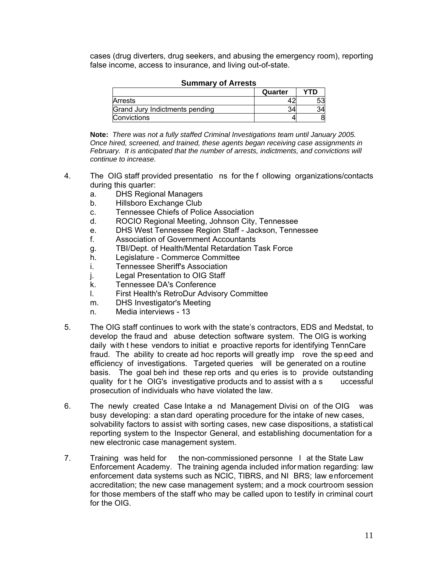cases (drug diverters, drug seekers, and abusing the emergency room), reporting false income, access to insurance, and living out-of-state.

|                                | Quarter | YTD |
|--------------------------------|---------|-----|
| Arrests                        |         |     |
| Grand Jury Indictments pending |         |     |
| Convictions                    |         |     |

#### **Summary of Arrests**

**Note:** *There was not a fully staffed Criminal Investigations team until January 2005. Once hired, screened, and trained, these agents began receiving case assignments in February. It is anticipated that the number of arrests, indictments, and convictions will continue to increase.* 

- 4. The OIG staff provided presentatio ns for the f ollowing organizations/contacts during this quarter:
	- a. DHS Regional Managers
	- b. Hillsboro Exchange Club
	- c. Tennessee Chiefs of Police Association
	- d. ROCIO Regional Meeting, Johnson City, Tennessee
	- e. DHS West Tennessee Region Staff Jackson, Tennessee
	- f. Association of Government Accountants
	- g. TBI/Dept. of Health/Mental Retardation Task Force
	- h. Legislature Commerce Committee
	- i. Tennessee Sheriff's Association
	- j. Legal Presentation to OIG Staff
	- k. Tennessee DA's Conference
	- l. First Health's RetroDur Advisory Committee
	- m. DHS Investigator's Meeting
	- n. Media interviews 13
- 5. The OIG staff continues to work with the state's contractors, EDS and Medstat, to develop the fraud and abuse detection software system. The OIG is working daily with t hese vendors to initiat e proactive reports for identifying TennCare fraud. The ability to create ad hoc reports will greatly imp rove the sp eed and efficiency of investigations. Targeted queries will be generated on a routine basis. The goal beh ind these rep orts and qu eries is to provide outstanding quality for t he OIG's investigative products and to assist with a s uccessful prosecution of individuals who have violated the law.
- 6. The newly created Case Intake a nd Management Divisi on of the OIG was busy developing: a stan dard operating procedure for the intake of new cases, solvability factors to assist with sorting cases, new case dispositions, a statistical reporting system to the Inspector General, and establishing documentation for a new electronic case management system.
- 7. Training was held for the non-commissioned personne l at the State Law Enforcement Academy. The training agenda included infor mation regarding: law enforcement data systems such as NCIC, TIBRS, and NI BRS; law enforcement accreditation; the new case management system; and a mock courtroom session for those members of the staff who may be called upon to testify in criminal court for the OIG.